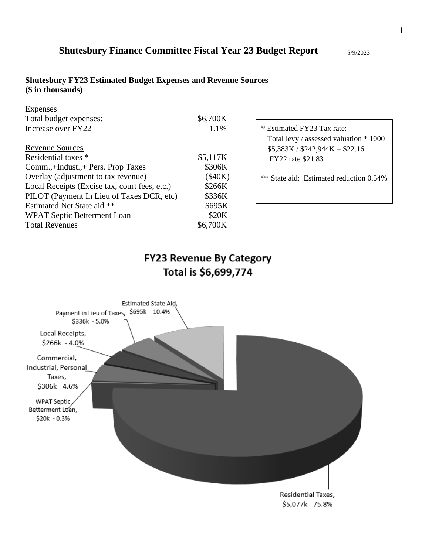## **Shutesbury FY23 Estimated Budget Expenses and Revenue Sources (\$ in thousands)**

| Expenses                                      |          |
|-----------------------------------------------|----------|
| Total budget expenses:                        | \$6,700K |
| Increase over FY22                            | 1.1%     |
| <b>Revenue Sources</b>                        |          |
| Residential taxes *                           | \$5,117K |
| Comm.,+Indust.,+ Pers. Prop Taxes             | \$306K   |
| Overlay (adjustment to tax revenue)           | (\$40K)  |
| Local Receipts (Excise tax, court fees, etc.) | \$266K   |
| PILOT (Payment In Lieu of Taxes DCR, etc)     | \$336K   |
| Estimated Net State aid **                    | \$695K   |
| <b>WPAT Septic Betterment Loan</b>            | \$20K    |
| <b>Total Revenues</b>                         | \$6,700K |

\* Estimated FY23 Tax rate: Total levy / assessed valuation \* 1000  $$5,383K / $242,944K = $22.16$ FY22 rate \$21.83

\*\* State aid: Estimated reduction 0.54%

# **FY23 Revenue By Category** Total is \$6,699,774

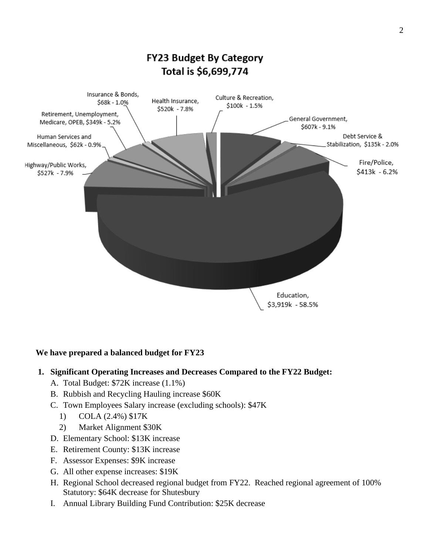

## **We have prepared a balanced budget for FY23**

## **1. Significant Operating Increases and Decreases Compared to the FY22 Budget:**

- A. Total Budget: \$72K increase (1.1%)
- B. Rubbish and Recycling Hauling increase \$60K
- C. Town Employees Salary increase (excluding schools): \$47K
	- 1) COLA (2.4%) \$17K
	- 2) Market Alignment \$30K
- D. Elementary School: \$13K increase
- E. Retirement County: \$13K increase
- F. Assessor Expenses: \$9K increase
- G. All other expense increases: \$19K
- H. Regional School decreased regional budget from FY22. Reached regional agreement of 100% Statutory: \$64K decrease for Shutesbury
- I. Annual Library Building Fund Contribution: \$25K decrease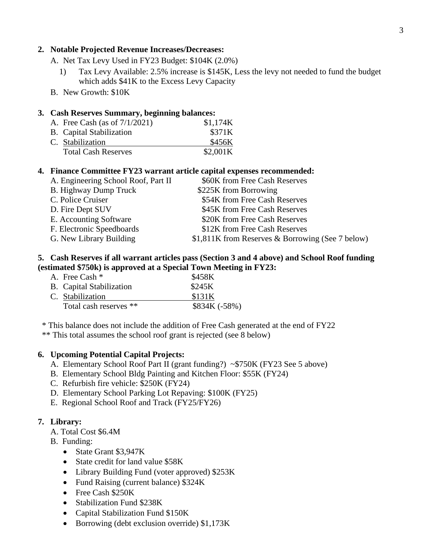### **2. Notable Projected Revenue Increases/Decreases:**

- A. Net Tax Levy Used in FY23 Budget: \$104K (2.0%)
	- 1) Tax Levy Available: 2.5% increase is \$145K, Less the levy not needed to fund the budget which adds \$41K to the Excess Levy Capacity
- B. New Growth: \$10K

#### **3. Cash Reserves Summary, beginning balances:**

| A. Free Cash (as of $7/1/2021$ ) | \$1,174K |
|----------------------------------|----------|
| <b>B.</b> Capital Stabilization  | \$371K   |
| C. Stabilization                 | \$456K   |
| <b>Total Cash Reserves</b>       | \$2,001K |

#### **4. Finance Committee FY23 warrant article capital expenses recommended:**

| A. Engineering School Roof, Part II | \$60K from Free Cash Reserves                    |
|-------------------------------------|--------------------------------------------------|
| <b>B.</b> Highway Dump Truck        | \$225K from Borrowing                            |
| C. Police Cruiser                   | \$54K from Free Cash Reserves                    |
| D. Fire Dept SUV                    | \$45K from Free Cash Reserves                    |
| E. Accounting Software              | \$20K from Free Cash Reserves                    |
| F. Electronic Speedboards           | \$12K from Free Cash Reserves                    |
| G. New Library Building             | \$1,811K from Reserves & Borrowing (See 7 below) |
|                                     |                                                  |

## **5. Cash Reserves if all warrant articles pass (Section 3 and 4 above) and School Roof funding (estimated \$750k) is approved at a Special Town Meeting in FY23:**

| A. Free Cash *                  | \$458K        |
|---------------------------------|---------------|
| <b>B.</b> Capital Stabilization | \$245K        |
| C. Stabilization                | \$131K        |
| Total cash reserves **          | \$834K (-58%) |

\* This balance does not include the addition of Free Cash generated at the end of FY22

\*\* This total assumes the school roof grant is rejected (see 8 below)

#### **6. Upcoming Potential Capital Projects:**

- A. Elementary School Roof Part II (grant funding?) ~\$750K (FY23 See 5 above)
- B. Elementary School Bldg Painting and Kitchen Floor: \$55K (FY24)
- C. Refurbish fire vehicle: \$250K (FY24)
- D. Elementary School Parking Lot Repaving: \$100K (FY25)
- E. Regional School Roof and Track (FY25/FY26)

#### **7. Library:**

- A. Total Cost \$6.4M
- B. Funding:
	- State Grant \$3,947K
	- State credit for land value \$58K
	- Library Building Fund (voter approved) \$253K
	- Fund Raising (current balance) \$324K
	- Free Cash \$250K
	- Stabilization Fund \$238K
	- Capital Stabilization Fund \$150K
	- Borrowing (debt exclusion override) \$1,173K